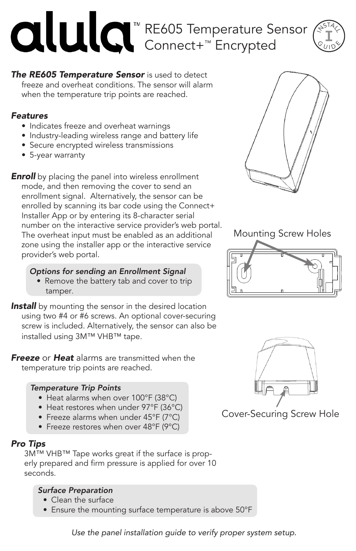# RE605 Temperature Sensor Connect+™ Encrypted

 $S^{574}$  $\mathcal{S}\bar{\mathbf{u}}$ -<br>Idy **I**

*The RE605 Temperature Sensor* is used to detect freeze and overheat conditions. The sensor will alarm when the temperature trip points are reached.

## *Features*

- Indicates freeze and overheat warnings
- Industry-leading wireless range and battery life
- Secure encrypted wireless transmissions
- 5-year warranty

*Enroll* by placing the panel into wireless enrollment mode, and then removing the cover to send an enrollment signal. Alternatively, the sensor can be enrolled by scanning its bar code using the Connect+ Installer App or by entering its 8-character serial number on the interactive service provider's web portal. The overheat input must be enabled as an additional zone using the installer app or the interactive service provider's web portal.

## *Options for sending an Enrollment Signal*

- Remove the battery tab and cover to trip tamper.
- **Install** by mounting the sensor in the desired location using two #4 or #6 screws. An optional cover-securing screw is included. Alternatively, the sensor can also be installed using 3M™ VHB™ tape.

*Freeze* or *Heat* alarms are transmitted when the temperature trip points are reached.

### *Temperature Trip Points*

- Heat alarms when over 100°F (38°C)
- Heat restores when under 97°F (36°C)
- Freeze alarms when under 45°F (7°C)
- Freeze restores when over 48°F (9°C)

## *Pro Tips*

3M<sup>™</sup> VHB™ Tape works great if the surface is properly prepared and firm pressure is applied for over 10 seconds.

### *Surface Preparation*

- Clean the surface
- Ensure the mounting surface temperature is above 50°F







Cover-Securing Screw Hole

*Use the panel installation guide to verify proper system setup.*